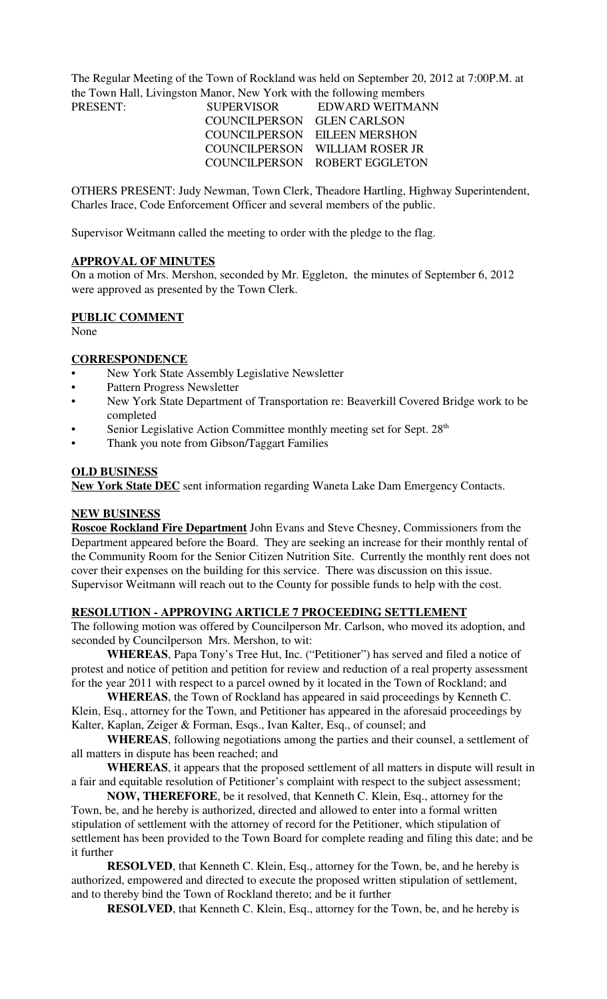The Regular Meeting of the Town of Rockland was held on September 20, 2012 at 7:00P.M. at the Town Hall, Livingston Manor, New York with the following members PRESENT:

| PRESENT: | <b>SUPERVISOR</b>          | EDWARD WEITMAN                 |
|----------|----------------------------|--------------------------------|
|          | COUNCILPERSON GLEN CARLSON |                                |
|          |                            | COUNCILPERSON EILEEN MERSHON   |
|          |                            | COUNCILPERSON WILLIAM ROSER JR |
|          |                            | COUNCILPERSON ROBERT EGGLETON  |

OTHERS PRESENT: Judy Newman, Town Clerk, Theadore Hartling, Highway Superintendent, Charles Irace, Code Enforcement Officer and several members of the public.

Supervisor Weitmann called the meeting to order with the pledge to the flag.

### **APPROVAL OF MINUTES**

On a motion of Mrs. Mershon, seconded by Mr. Eggleton, the minutes of September 6, 2012 were approved as presented by the Town Clerk.

## **PUBLIC COMMENT**

None

## **CORRESPONDENCE**

- New York State Assembly Legislative Newsletter
- Pattern Progress Newsletter
- New York State Department of Transportation re: Beaverkill Covered Bridge work to be completed
- Senior Legislative Action Committee monthly meeting set for Sept. 28<sup>th</sup>
- Thank you note from Gibson/Taggart Families

### **OLD BUSINESS**

**New York State DEC** sent information regarding Waneta Lake Dam Emergency Contacts.

## **NEW BUSINESS**

**Roscoe Rockland Fire Department** John Evans and Steve Chesney, Commissioners from the Department appeared before the Board. They are seeking an increase for their monthly rental of the Community Room for the Senior Citizen Nutrition Site. Currently the monthly rent does not cover their expenses on the building for this service. There was discussion on this issue. Supervisor Weitmann will reach out to the County for possible funds to help with the cost.

## **RESOLUTION - APPROVING ARTICLE 7 PROCEEDING SETTLEMENT**

The following motion was offered by Councilperson Mr. Carlson, who moved its adoption, and seconded by Councilperson Mrs. Mershon, to wit:

**WHEREAS**, Papa Tony's Tree Hut, Inc. ("Petitioner") has served and filed a notice of protest and notice of petition and petition for review and reduction of a real property assessment for the year 2011 with respect to a parcel owned by it located in the Town of Rockland; and

**WHEREAS**, the Town of Rockland has appeared in said proceedings by Kenneth C. Klein, Esq., attorney for the Town, and Petitioner has appeared in the aforesaid proceedings by Kalter, Kaplan, Zeiger & Forman, Esqs., Ivan Kalter, Esq., of counsel; and

**WHEREAS**, following negotiations among the parties and their counsel, a settlement of all matters in dispute has been reached; and

**WHEREAS**, it appears that the proposed settlement of all matters in dispute will result in a fair and equitable resolution of Petitioner's complaint with respect to the subject assessment;

**NOW, THEREFORE**, be it resolved, that Kenneth C. Klein, Esq., attorney for the Town, be, and he hereby is authorized, directed and allowed to enter into a formal written stipulation of settlement with the attorney of record for the Petitioner, which stipulation of settlement has been provided to the Town Board for complete reading and filing this date; and be it further

**RESOLVED**, that Kenneth C. Klein, Esq., attorney for the Town, be, and he hereby is authorized, empowered and directed to execute the proposed written stipulation of settlement, and to thereby bind the Town of Rockland thereto; and be it further

**RESOLVED**, that Kenneth C. Klein, Esq., attorney for the Town, be, and he hereby is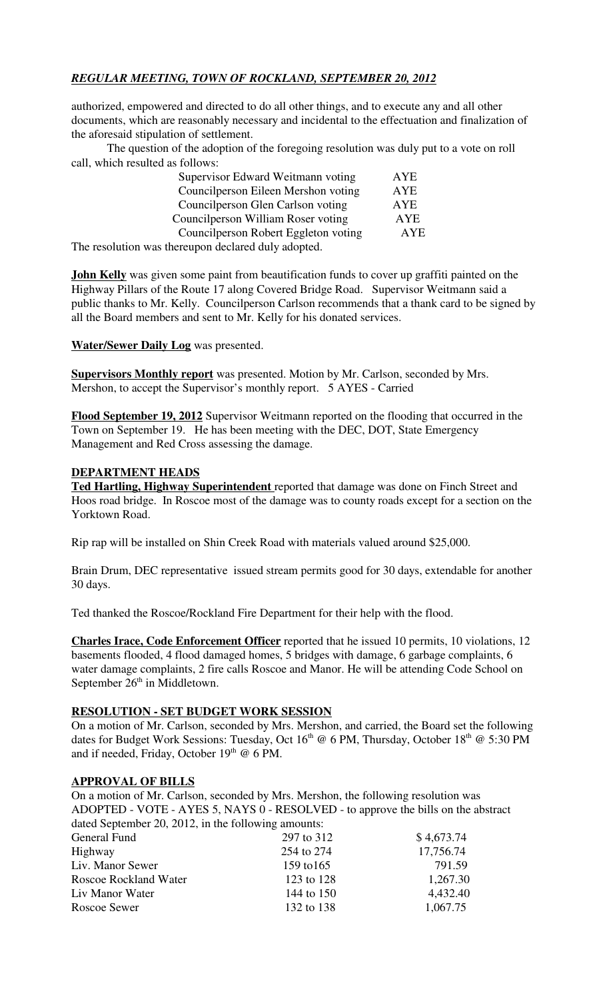## *REGULAR MEETING, TOWN OF ROCKLAND, SEPTEMBER 20, 2012*

authorized, empowered and directed to do all other things, and to execute any and all other documents, which are reasonably necessary and incidental to the effectuation and finalization of the aforesaid stipulation of settlement.

The question of the adoption of the foregoing resolution was duly put to a vote on roll call, which resulted as follows:

|  | Supervisor Edward Weitmann voting    | <b>AYE</b> |
|--|--------------------------------------|------------|
|  | Councilperson Eileen Mershon voting  | AYE        |
|  | Councilperson Glen Carlson voting    | <b>AYE</b> |
|  | Councilperson William Roser voting   | <b>AYE</b> |
|  | Councilperson Robert Eggleton voting | AYE        |
|  | .                                    |            |

The resolution was thereupon declared duly adopted.

**John Kelly** was given some paint from beautification funds to cover up graffiti painted on the Highway Pillars of the Route 17 along Covered Bridge Road. Supervisor Weitmann said a public thanks to Mr. Kelly. Councilperson Carlson recommends that a thank card to be signed by all the Board members and sent to Mr. Kelly for his donated services.

**Water/Sewer Daily Log** was presented.

**Supervisors Monthly report** was presented. Motion by Mr. Carlson, seconded by Mrs. Mershon, to accept the Supervisor's monthly report. 5 AYES - Carried

**Flood September 19, 2012** Supervisor Weitmann reported on the flooding that occurred in the Town on September 19. He has been meeting with the DEC, DOT, State Emergency Management and Red Cross assessing the damage.

### **DEPARTMENT HEADS**

**Ted Hartling, Highway Superintendent** reported that damage was done on Finch Street and Hoos road bridge. In Roscoe most of the damage was to county roads except for a section on the Yorktown Road.

Rip rap will be installed on Shin Creek Road with materials valued around \$25,000.

Brain Drum, DEC representative issued stream permits good for 30 days, extendable for another 30 days.

Ted thanked the Roscoe/Rockland Fire Department for their help with the flood.

**Charles Irace, Code Enforcement Officer** reported that he issued 10 permits, 10 violations, 12 basements flooded, 4 flood damaged homes, 5 bridges with damage, 6 garbage complaints, 6 water damage complaints, 2 fire calls Roscoe and Manor. He will be attending Code School on September 26<sup>th</sup> in Middletown.

#### **RESOLUTION - SET BUDGET WORK SESSION**

On a motion of Mr. Carlson, seconded by Mrs. Mershon, and carried, the Board set the following dates for Budget Work Sessions: Tuesday, Oct 16<sup>th</sup> @ 6 PM, Thursday, October 18<sup>th</sup> @ 5:30 PM and if needed, Friday, October  $19<sup>th</sup>$  @ 6 PM.

#### **APPROVAL OF BILLS**

On a motion of Mr. Carlson, seconded by Mrs. Mershon, the following resolution was ADOPTED - VOTE - AYES 5, NAYS 0 - RESOLVED - to approve the bills on the abstract dated September 20, 2012, in the following amounts:

| General Fund                 | 297 to 312 | \$4,673.74 |
|------------------------------|------------|------------|
| Highway                      | 254 to 274 | 17,756.74  |
| Liv. Manor Sewer             | 159 to 165 | 791.59     |
| <b>Roscoe Rockland Water</b> | 123 to 128 | 1,267.30   |
| Liv Manor Water              | 144 to 150 | 4,432.40   |
| Roscoe Sewer                 | 132 to 138 | 1,067.75   |
|                              |            |            |